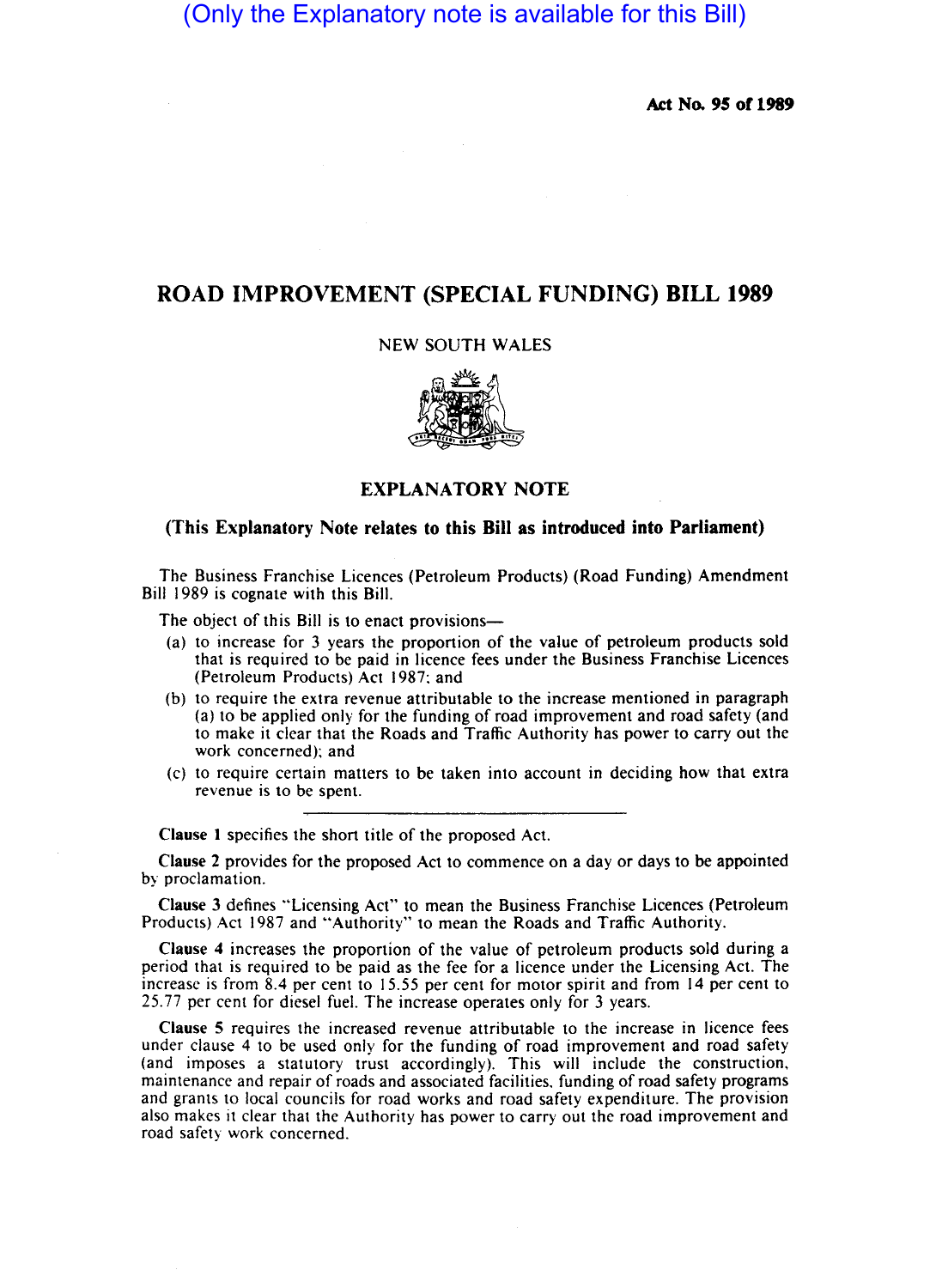## (Only the Explanatory note is available for this Bill)

Act No. 95 of 1989

## ROAD IMPROVEMENT (SPECIAL FUNDING) BILL 1989

NEW SOUTH WALES



## EXPLANATORY NOTE

## (This Explanatory Note relates to this Bill as introduced into Parliament)

The Business Franchise Licences (Petroleum Products) (Road Funding) Amendment Bill 1989 is cognate with this Bill.

The object of this Bill is to enact provisions-

- (a) to increase for 3 years the proportion of the value of petroleum products sold that is required to be paid in licence fees under the Business Franchise Licences (Petroleum Products) Act 1987: and
- (b) to require the extra revenue attributable to the increase mentioned in paragraph (a) to be applied only for the funding of road improvement and road safety (and to make it clear that the Roads and Traffic Authority has power to carry out the work concerned): and
- (c) to require certain matters to be taken into account in deciding how that extra revenue is to be spent.

Clause 1 specifies the short title of the proposed Act.

Clause 2 provides for the proposed Act to commence on a day or days to be appointed by proclamation.

Clause 3 defines "Licensing Act" to mean the Business Franchise Licences (Petroleum Products) Act 1987 and "Authority" to mean the Roads and Traffic Authority.

Clause 4 increases the proportion of the value of petroleum products sold during a period that is required to be paid as the fee for a licence under the Licensing Act. The increase is from 8.4 per cent to 15.55 per cent for motor spirit and from 14 per cent to 25.77 per cent for diesel fuel. The increase operates only for 3 years.

Clause 5 requires the increased revenue attributable to the increase in licence fees under clause 4 to be used only for the funding of road improvement and road safety (and imposes a statutory trust accordingly). This will include the construction, maintenance and repair of roads and associated facilities, funding of road safety programs and grants to local councils for road works and road safety expenditure. The provision also makes it clear that the Authority has power to carry out the road improvement and road safety work concerned.